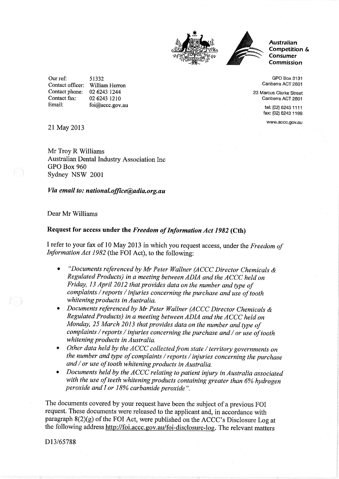



Australian Competition & Consumer Commission

GPO Box 3131 Canberra ACT 2601

23 Marcus Clarke Streel Canberra ACT 2601

> tel: (02) 6243 1111 fax: (02) 6243 1199

www.accc.gov.au

Our ref: Contact officer: William Herron Contact phone: Contact fax: Email: 5t332 02 6243 1244 02 6243 1210 foi@accc.gov.au

2l May <sup>2013</sup>

Mr Troy R Williams Australian Dental Industry Association Inc GPO Box 960 Sydney NSW <sup>2001</sup>

## Via email to: national.office@adia.org.au

## Dear Mr Williams

## Request for access under the Freedom of Information Act 1982 (Cth)

I refer to your fax of 10 May 2013 in which you request access, under the Freedom of Information Act 1982 (the FOI Act), to the following:

- "Documents referenced by Mr Peter Wallner (ACCC Director Chemicals  $\&$ Regulated Products) in a meeting between ADIA and the ACCC held on Friday, 13 April 2012 that provides data on the number and type of complaints / reports / injuries concerning the purchase and use of tooth whitening products in Australia.
- Documents referenced by Mr Peter Wallner (ACCC Director Chemicals  $\&$ Regulated Products) in a meeting between ADIA and the ACCC held on Monday, 25 March 2013 that provides data on the number and type of complaints / reports / injuries concerning the purchase and / or use of tooth whitening products in Australia.
- Other data held by the ACCC collected from state / territory governments on the number and type of complaints / reports / injuries concerning the purchase and  $/$  or use of tooth whitening products in Australia.
- Documents held by the  $ACCC$  relating to patient injury in Australia associated with the use of teeth whitening products containing greater than 6% hydrogen peroxide and I or 18% carbamide peroxide".

The documents covered by your request have been the subject of a previous FOI request. These documents were released to the applicant and, in accordance with paragraph 8(2)(g) of the FOI Act, were published on the ACCC's Disclosure Log at the following address http://foi.accc.gov.au/foi-disclosure-log. The relevant matters

D<sub>13</sub>/65788